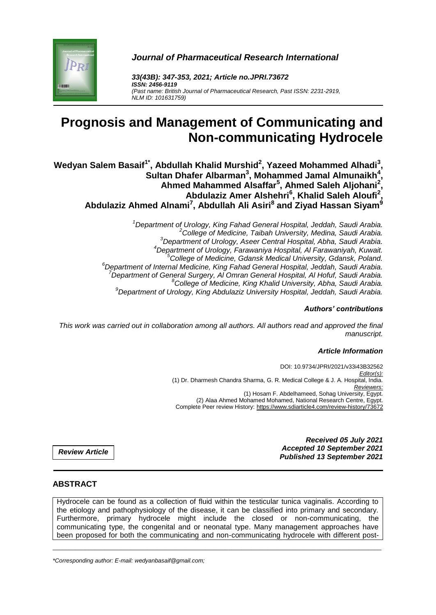

*Journal of Pharmaceutical Research International*

*33(43B): 347-353, 2021; Article no.JPRI.73672 ISSN: 2456-9119 (Past name: British Journal of Pharmaceutical Research, Past ISSN: 2231-2919, NLM ID: 101631759)*

# **Prognosis and Management of Communicating and Non-communicating Hydrocele**

**Wedyan Salem Basaif1\* , Abdullah Khalid Murshid<sup>2</sup> , Yazeed Mohammed Alhadi<sup>3</sup> , Sultan Dhafer Albarman<sup>3</sup> , Mohammed Jamal Almunaikh<sup>4</sup> , Ahmed Mahammed Alsaffar<sup>5</sup> , Ahmed Saleh Aljohani<sup>2</sup> , Abdulaziz Amer Alshehri<sup>6</sup> , Khalid Saleh Aloufi<sup>2</sup> , Abdulaziz Ahmed Alnami<sup>7</sup> , Abdullah Ali Asiri<sup>8</sup> and Ziyad Hassan Siyam<sup>9</sup>**

> *Department of Urology, King Fahad General Hospital, Jeddah, Saudi Arabia. College of Medicine, Taibah University, Medina, Saudi Arabia. Department of Urology, Aseer Central Hospital, Abha, Saudi Arabia. Department of Urology, Farawaniya Hospital, Al Farawaniyah, Kuwait. College of Medicine, Gdansk Medical University, Gdansk, Poland. Department of Internal Medicine, King Fahad General Hospital, Jeddah, Saudi Arabia. Department of General Surgery, Al Omran General Hospital, Al Hofuf, Saudi Arabia. College of Medicine, King Khalid University, Abha, Saudi Arabia. Department of Urology, King Abdulaziz University Hospital, Jeddah, Saudi Arabia.*

#### *Authors' contributions*

*This work was carried out in collaboration among all authors. All authors read and approved the final manuscript.*

#### *Article Information*

DOI: 10.9734/JPRI/2021/v33i43B32562 *Editor(s):* (1) Dr. Dharmesh Chandra Sharma, G. R. Medical College & J. A. Hospital, India. *Reviewers:* (1) Hosam F. Abdelhameed, Sohag University, Egypt. (2) Alaa Ahmed Mohamed Mohamed, National Research Centre, Egypt. Complete Peer review History: https://www.sdiarticle4.com/review-history/73672

> *Received 05 July 2021 Accepted 10 September 2021 Published 13 September 2021*

*Review Article*

### **ABSTRACT**

Hydrocele can be found as a collection of fluid within the testicular tunica vaginalis. According to the etiology and pathophysiology of the disease, it can be classified into primary and secondary. Furthermore, primary hydrocele might include the closed or non-communicating, the communicating type, the congenital and or neonatal type. Many management approaches have been proposed for both the communicating and non-communicating hydrocele with different post-

\_\_\_\_\_\_\_\_\_\_\_\_\_\_\_\_\_\_\_\_\_\_\_\_\_\_\_\_\_\_\_\_\_\_\_\_\_\_\_\_\_\_\_\_\_\_\_\_\_\_\_\_\_\_\_\_\_\_\_\_\_\_\_\_\_\_\_\_\_\_\_\_\_\_\_\_\_\_\_\_\_\_\_\_\_\_\_\_\_\_\_\_\_\_\_\_\_\_\_\_\_

*\*Corresponding author: E-mail: wedyanbasaif@gmail.com;*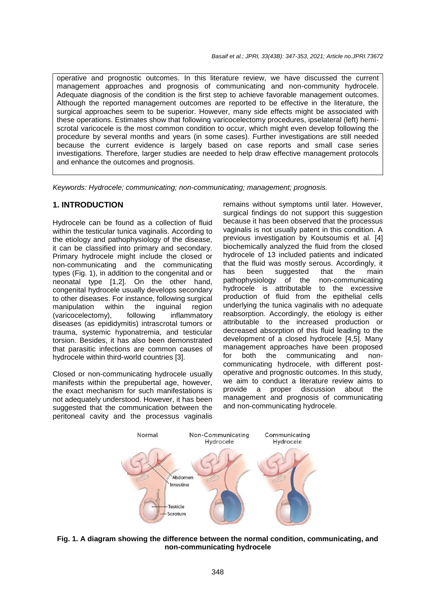operative and prognostic outcomes. In this literature review, we have discussed the current management approaches and prognosis of communicating and non-community hydrocele. Adequate diagnosis of the condition is the first step to achieve favorable management outcomes. Although the reported management outcomes are reported to be effective in the literature, the surgical approaches seem to be superior. However, many side effects might be associated with these operations. Estimates show that following varicocelectomy procedures, ipselateral (left) hemiscrotal varicocele is the most common condition to occur, which might even develop following the procedure by several months and years (in some cases). Further investigations are still needed because the current evidence is largely based on case reports and small case series investigations. Therefore, larger studies are needed to help draw effective management protocols and enhance the outcomes and prognosis.

*Keywords: Hydrocele; communicating; non-communicating; management; prognosis.*

#### **1. INTRODUCTION**

Hydrocele can be found as a collection of fluid within the testicular tunica vaginalis. According to the etiology and pathophysiology of the disease, it can be classified into primary and secondary. Primary hydrocele might include the closed or non-communicating and the communicating types (Fig. 1), in addition to the congenital and or neonatal type [1,2]. On the other hand, congenital hydrocele usually develops secondary to other diseases. For instance, following surgical manipulation within the inguinal region (varicocelectomy), following inflammatory diseases (as epididymitis) intrascrotal tumors or trauma, systemic hyponatremia, and testicular torsion. Besides, it has also been demonstrated that parasitic infections are common causes of hydrocele within third-world countries [3].

Closed or non-communicating hydrocele usually manifests within the prepubertal age, however, the exact mechanism for such manifestations is not adequately understood. However, it has been suggested that the communication between the peritoneal cavity and the processus vaginalis

remains without symptoms until later. However, surgical findings do not support this suggestion because it has been observed that the processus vaginalis is not usually patent in this condition. A previous investigation by Koutsoumis et al. [4] biochemically analyzed the fluid from the closed hydrocele of 13 included patients and indicated that the fluid was mostly serous. Accordingly, it has been suggested that the main pathophysiology of the non-communicating hydrocele is attributable to the excessive production of fluid from the epithelial cells underlying the tunica vaginalis with no adequate reabsorption. Accordingly, the etiology is either attributable to the increased production or decreased absorption of this fluid leading to the development of a closed hydrocele [4,5]. Many management approaches have been proposed for both the communicating and noncommunicating hydrocele, with different postoperative and prognostic outcomes. In this study, we aim to conduct a literature review aims to provide a proper discussion about the management and prognosis of communicating and non-communicating hydrocele.



**Fig. 1. A diagram showing the difference between the normal condition, communicating, and non-communicating hydrocele**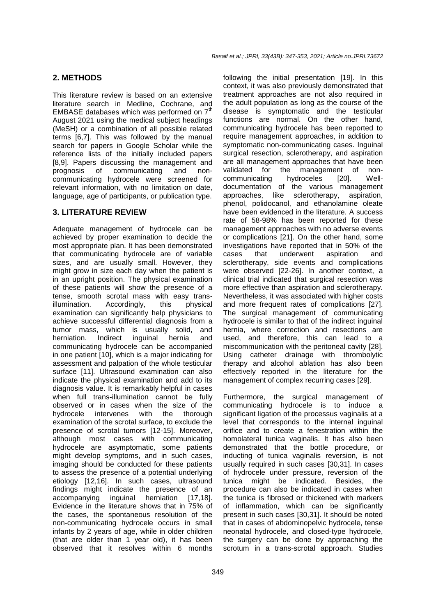## **2. METHODS**

This literature review is based on an extensive literature search in Medline, Cochrane, and EMBASE databases which was performed on  $7<sup>th</sup>$ August 2021 using the medical subject headings (MeSH) or a combination of all possible related terms [6,7]. This was followed by the manual search for papers in Google Scholar while the reference lists of the initially included papers [8,9]. Papers discussing the management and prognosis of communicating and noncommunicating hydrocele were screened for relevant information, with no limitation on date, language, age of participants, or publication type.

## **3. LITERATURE REVIEW**

Adequate management of hydrocele can be achieved by proper examination to decide the most appropriate plan. It has been demonstrated that communicating hydrocele are of variable sizes, and are usually small. However, they might grow in size each day when the patient is in an upright position. The physical examination of these patients will show the presence of a tense, smooth scrotal mass with easy transillumination. Accordingly, this physical examination can significantly help physicians to achieve successful differential diagnosis from a tumor mass, which is usually solid, and herniation. Indirect inguinal hernia and communicating hydrocele can be accompanied in one patient [10], which is a major indicating for assessment and palpation of the whole testicular surface [11]. Ultrasound examination can also indicate the physical examination and add to its diagnosis value. It is remarkably helpful in cases when full trans-illumination cannot be fully observed or in cases when the size of the hydrocele intervenes with the thorough examination of the scrotal surface, to exclude the presence of scrotal tumors [12-15]. Moreover, although most cases with communicating hydrocele are asymptomatic, some patients might develop symptoms, and in such cases, imaging should be conducted for these patients to assess the presence of a potential underlying etiology [12,16]. In such cases, ultrasound findings might indicate the presence of an accompanying inguinal herniation [17,18]. Evidence in the literature shows that in 75% of the cases, the spontaneous resolution of the non-communicating hydrocele occurs in small infants by 2 years of age, while in older children (that are older than 1 year old), it has been observed that it resolves within 6 months

following the initial presentation [19]. In this context, it was also previously demonstrated that treatment approaches are not also required in the adult population as long as the course of the disease is symptomatic and the testicular functions are normal. On the other hand, communicating hydrocele has been reported to require management approaches, in addition to symptomatic non-communicating cases. Inguinal surgical resection, sclerotherapy, and aspiration are all management approaches that have been validated for the management of noncommunicating hydroceles [20]. Welldocumentation of the various management approaches, like sclerotherapy, aspiration, phenol, polidocanol, and ethanolamine oleate have been evidenced in the literature. A success rate of 58-98% has been reported for these management approaches with no adverse events or complications [21]. On the other hand, some investigations have reported that in 50% of the cases that underwent aspiration and sclerotherapy, side events and complications were observed [22-26]. In another context, a clinical trial indicated that surgical resection was more effective than aspiration and sclerotherapy. Nevertheless, it was associated with higher costs and more frequent rates of complications [27]. The surgical management of communicating hydrocele is similar to that of the indirect inguinal hernia, where correction and resections are used, and therefore, this can lead to a miscommunication with the peritoneal cavity [28]. Using catheter drainage with thrombolytic therapy and alcohol ablation has also been effectively reported in the literature for the management of complex recurring cases [29].

Furthermore, the surgical management of communicating hydrocele is to induce a significant ligation of the processus vaginalis at a level that corresponds to the internal inguinal orifice and to create a fenestration within the homolateral tunica vaginalis. It has also been demonstrated that the bottle procedure, or inducting of tunica vaginalis reversion, is not usually required in such cases [30,31]. In cases of hydrocele under pressure, reversion of the tunica might be indicated. Besides, the procedure can also be indicated in cases when the tunica is fibrosed or thickened with markers of inflammation, which can be significantly present in such cases [30,31]. It should be noted that in cases of abdominopelvic hydrocele, tense neonatal hydrocele, and closed-type hydrocele, the surgery can be done by approaching the scrotum in a trans-scrotal approach. Studies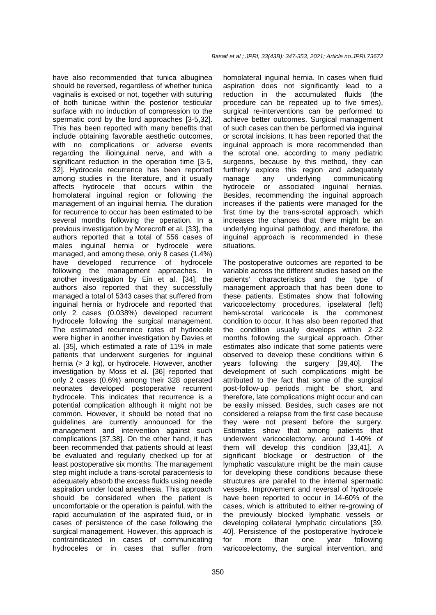have also recommended that tunica albuginea should be reversed, regardless of whether tunica vaginalis is excised or not, together with suturing of both tunicae within the posterior testicular surface with no induction of compression to the spermatic cord by the lord approaches [3-5,32]. This has been reported with many benefits that include obtaining favorable aesthetic outcomes, with no complications or adverse events regarding the ilioinguinal nerve, and with a significant reduction in the operation time [3-5, 32]. Hydrocele recurrence has been reported among studies in the literature, and it usually affects hydrocele that occurs within the homolateral inguinal region or following the management of an inguinal hernia. The duration for recurrence to occur has been estimated to be several months following the operation. In a previous investigation by Morecroft et al. [33], the authors reported that a total of 556 cases of males inguinal hernia or hydrocele were managed, and among these, only 8 cases (1.4%) have developed recurrence of hydrocele following the management approaches. In another investigation by Ein et al. [34], the authors also reported that they successfully managed a total of 5343 cases that suffered from inguinal hernia or hydrocele and reported that only 2 cases (0.038%) developed recurrent hydrocele following the surgical management. The estimated recurrence rates of hydrocele were higher in another investigation by Davies et al. [35], which estimated a rate of 11% in male patients that underwent surgeries for inguinal hernia (> 3 kg), or hydrocele. However, another investigation by Moss et al. [36] reported that only 2 cases (0.6%) among their 328 operated neonates developed postoperative recurrent hydrocele. This indicates that recurrence is a potential complication although it might not be common. However, it should be noted that no guidelines are currently announced for the management and intervention against such complications [37,38]. On the other hand, it has been recommended that patients should at least be evaluated and regularly checked up for at least postoperative six months. The management step might include a trans-scrotal paracentesis to adequately absorb the excess fluids using needle aspiration under local anesthesia. This approach should be considered when the patient is uncomfortable or the operation is painful, with the rapid accumulation of the aspirated fluid, or in cases of persistence of the case following the surgical management. However, this approach is contraindicated in cases of communicating hydroceles or in cases that suffer from

homolateral inguinal hernia. In cases when fluid aspiration does not significantly lead to a reduction in the accumulated fluids (the procedure can be repeated up to five times), surgical re-interventions can be performed to achieve better outcomes. Surgical management of such cases can then be performed via inguinal or scrotal incisions. It has been reported that the inguinal approach is more recommended than the scrotal one, according to many pediatric surgeons, because by this method, they can furtherly explore this region and adequately manage any underlying communicating hydrocele or associated inguinal hernias. Besides, recommending the inguinal approach increases if the patients were managed for the first time by the trans-scrotal approach, which increases the chances that there might be an underlying inguinal pathology, and therefore, the inguinal approach is recommended in these situations.

The postoperative outcomes are reported to be variable across the different studies based on the patients' characteristics and the type of management approach that has been done to these patients. Estimates show that following varicocelectomy procedures, ipselateral (left) hemi-scrotal varicocele is the commonest condition to occur. It has also been reported that the condition usually develops within 2-22 months following the surgical approach. Other estimates also indicate that some patients were observed to develop these conditions within 6 years following the surgery [39,40]. The development of such complications might be attributed to the fact that some of the surgical post-follow-up periods might be short, and therefore, late complications might occur and can be easily missed. Besides, such cases are not considered a relapse from the first case because they were not present before the surgery. Estimates show that among patients that underwent varicocelectomy, around 1-40% of them will develop this condition [33,41]. A significant blockage or destruction of the lymphatic vasculature might be the main cause for developing these conditions because these structures are parallel to the internal spermatic vessels. Improvement and reversal of hydrocele have been reported to occur in 14-60% of the cases, which is attributed to either re-growing of the previously blocked lymphatic vessels or developing collateral lymphatic circulations [39, 40]. Persistence of the postoperative hydrocele for more than one year following varicocelectomy, the surgical intervention, and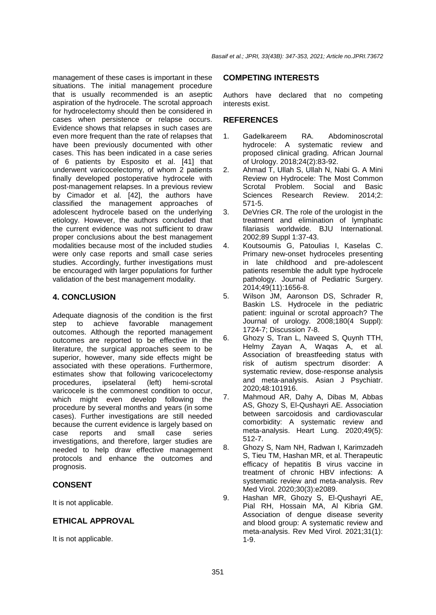*Basaif et al.; JPRI, 33(43B): 347-353, 2021; Article no.JPRI.73672*

management of these cases is important in these situations. The initial management procedure that is usually recommended is an aseptic aspiration of the hydrocele. The scrotal approach for hydrocelectomy should then be considered in cases when persistence or relapse occurs. Evidence shows that relapses in such cases are even more frequent than the rate of relapses that have been previously documented with other cases. This has been indicated in a case series of 6 patients by Esposito et al. [41] that underwent varicocelectomy, of whom 2 patients finally developed postoperative hydrocele with post-management relapses. In a previous review by Cimador et al. [42], the authors have classified the management approaches of adolescent hydrocele based on the underlying etiology. However, the authors concluded that the current evidence was not sufficient to draw proper conclusions about the best management modalities because most of the included studies were only case reports and small case series studies. Accordingly, further investigations must be encouraged with larger populations for further validation of the best management modality.

## **4. CONCLUSION**

Adequate diagnosis of the condition is the first step to achieve favorable management outcomes. Although the reported management outcomes are reported to be effective in the literature, the surgical approaches seem to be superior, however, many side effects might be associated with these operations. Furthermore, estimates show that following varicocelectomy procedures, ipselateral (left) hemi-scrotal varicocele is the commonest condition to occur, which might even develop following the procedure by several months and years (in some cases). Further investigations are still needed because the current evidence is largely based on case reports and small case series investigations, and therefore, larger studies are needed to help draw effective management protocols and enhance the outcomes and prognosis.

# **CONSENT**

It is not applicable.

# **ETHICAL APPROVAL**

It is not applicable.

## **COMPETING INTERESTS**

Authors have declared that no competing interests exist.

## **REFERENCES**

- 1. Gadelkareem RA. Abdominoscrotal hydrocele: A systematic review and proposed clinical grading. African Journal of Urology. 2018;24(2):83-92.
- 2. Ahmad T, Ullah S, Ullah N, Nabi G. A Mini Review on Hydrocele: The Most Common Scrotal Problem. Social and Basic Sciences Research Review. 2014;2: 571-5.
- 3. DeVries CR. The role of the urologist in the treatment and elimination of lymphatic filariasis worldwide. BJU International. 2002;89 Suppl 1:37-43.
- 4. Koutsoumis G, Patoulias I, Kaselas C. Primary new-onset hydroceles presenting in late childhood and pre-adolescent patients resemble the adult type hydrocele pathology. Journal of Pediatric Surgery. 2014;49(11):1656-8.
- 5. Wilson JM, Aaronson DS, Schrader R, Baskin LS. Hydrocele in the pediatric patient: inguinal or scrotal approach? The Journal of urology. 2008;180(4 Suppl): 1724-7; Discussion 7-8.
- 6. Ghozy S, Tran L, Naveed S, Quynh TTH, Helmy Zayan A, Waqas A, et al. Association of breastfeeding status with risk of autism spectrum disorder: A systematic review, dose-response analysis and meta-analysis. Asian J Psychiatr. 2020;48:101916.
- 7. Mahmoud AR, Dahy A, Dibas M, Abbas AS, Ghozy S, El-Qushayri AE. Association between sarcoidosis and cardiovascular comorbidity: A systematic review and meta-analysis. Heart Lung. 2020;49(5): 512-7.
- 8. Ghozy S, Nam NH, Radwan I, Karimzadeh S, Tieu TM, Hashan MR, et al. Therapeutic efficacy of hepatitis B virus vaccine in treatment of chronic HBV infections: A systematic review and meta-analysis. Rev Med Virol. 2020;30(3):e2089.
- 9. Hashan MR, Ghozy S, El-Qushayri AE, Pial RH, Hossain MA, Al Kibria GM. Association of dengue disease severity and blood group: A systematic review and meta-analysis. Rev Med Virol. 2021;31(1): 1-9.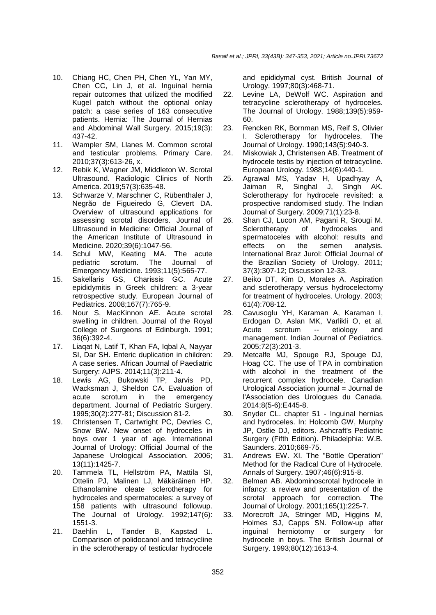- 10. Chiang HC, Chen PH, Chen YL, Yan MY, Chen CC, Lin J, et al. Inguinal hernia repair outcomes that utilized the modified Kugel patch without the optional onlay patch: a case series of 163 consecutive patients. Hernia: The Journal of Hernias and Abdominal Wall Surgery. 2015;19(3): 437-42.
- 11. Wampler SM, Llanes M. Common scrotal and testicular problems. Primary Care. 2010;37(3):613-26, x.
- 12. Rebik K, Wagner JM, Middleton W. Scrotal Ultrasound. Radiologic Clinics of North America. 2019;57(3):635-48.
- 13. Schwarze V, Marschner C, Rübenthaler J, Negrão de Figueiredo G, Clevert DA. Overview of ultrasound applications for assessing scrotal disorders. Journal of Ultrasound in Medicine: Official Journal of the American Institute of Ultrasound in Medicine. 2020;39(6):1047-56.
- 14. Schul MW, Keating MA. The acute pediatric scrotum. The Journal of Emergency Medicine. 1993;11(5):565-77.
- 15. Sakellaris GS, Charissis GC. Acute epididymitis in Greek children: a 3-year retrospective study. European Journal of Pediatrics. 2008;167(7):765-9.
- 16. Nour S, MacKinnon AE. Acute scrotal swelling in children. Journal of the Royal College of Surgeons of Edinburgh. 1991; 36(6):392-4.
- 17. Liaqat N, Latif T, Khan FA, Iqbal A, Nayyar SI, Dar SH. Enteric duplication in children: A case series. African Journal of Paediatric Surgery: AJPS. 2014;11(3):211-4.
- 18. Lewis AG, Bukowski TP, Jarvis PD, Wacksman J, Sheldon CA. Evaluation of acute scrotum in the emergency department. Journal of Pediatric Surgery. 1995;30(2):277-81; Discussion 81-2.
- 19. Christensen T, Cartwright PC, Devries C, Snow BW. New onset of hydroceles in boys over 1 year of age. International Journal of Urology: Official Journal of the Japanese Urological Association. 2006; 13(11):1425-7.
- 20. Tammela TL, Hellström PA, Mattila SI, Ottelin PJ, Malinen LJ, Mäkäräinen HP. Ethanolamine oleate sclerotherapy for hydroceles and spermatoceles: a survey of 158 patients with ultrasound followup. The Journal of Urology. 1992;147(6): 1551-3.
- 21. Daehlin L, Tønder B, Kapstad L. Comparison of polidocanol and tetracycline in the sclerotherapy of testicular hydrocele

and epididymal cyst. British Journal of Urology. 1997;80(3):468-71.

- 22. Levine LA, DeWolf WC. Aspiration and tetracycline sclerotherapy of hydroceles. The Journal of Urology. 1988;139(5):959- 60.
- 23. Rencken RK, Bornman MS, Reif S, Olivier I. Sclerotherapy for hydroceles. The Journal of Urology. 1990;143(5):940-3.
- 24. Miskowiak J, Christensen AB. Treatment of hydrocele testis by injection of tetracycline. European Urology. 1988;14(6):440-1.
- 25. Agrawal MS, Yadav H, Upadhyay A, Jaiman R, Singhal J, Singh AK. Sclerotherapy for hydrocele revisited: a prospective randomised study. The Indian Journal of Surgery. 2009;71(1):23-8.
- 26. Shan CJ, Lucon AM, Pagani R, Srougi M. Sclerotherapy of hydroceles and spermatoceles with alcohol: results and effects on the semen analysis. International Braz Jurol: Official Journal of the Brazilian Society of Urology. 2011; 37(3):307-12; Discussion 12-33.
- 27. Beiko DT, Kim D, Morales A. Aspiration and sclerotherapy versus hydrocelectomy for treatment of hydroceles. Urology. 2003; 61(4):708-12.
- 28. Cavusoglu YH, Karaman A, Karaman I, Erdogan D, Aslan MK, Varlikli O, et al. Acute scrotum -- etiology and management. Indian Journal of Pediatrics. 2005;72(3):201-3.
- 29. Metcalfe MJ, Spouge RJ, Spouge DJ, Hoag CC. The use of TPA in combination with alcohol in the treatment of the recurrent complex hydrocele. Canadian Urological Association journal = Journal de l'Association des Urologues du Canada. 2014;8(5-6):E445-8.
- 30. Snyder CL. chapter 51 Inguinal hernias and hydroceles. In: Holcomb GW, Murphy JP, Ostlie DJ, editors. Ashcraft's Pediatric Surgery (Fifth Edition). Philadelphia: W.B. Saunders. 2010;669-75.
- 31. Andrews EW. XI. The "Bottle Operation" Method for the Radical Cure of Hydrocele. Annals of Surgery. 1907;46(6):915-8.
- 32. Belman AB. Abdominoscrotal hydrocele in infancy: a review and presentation of the scrotal approach for correction. The Journal of Urology. 2001;165(1):225-7.
- 33. Morecroft JA, Stringer MD, Higgins M, Holmes SJ, Capps SN. Follow-up after inguinal herniotomy or surgery for hydrocele in boys. The British Journal of Surgery. 1993;80(12):1613-4.